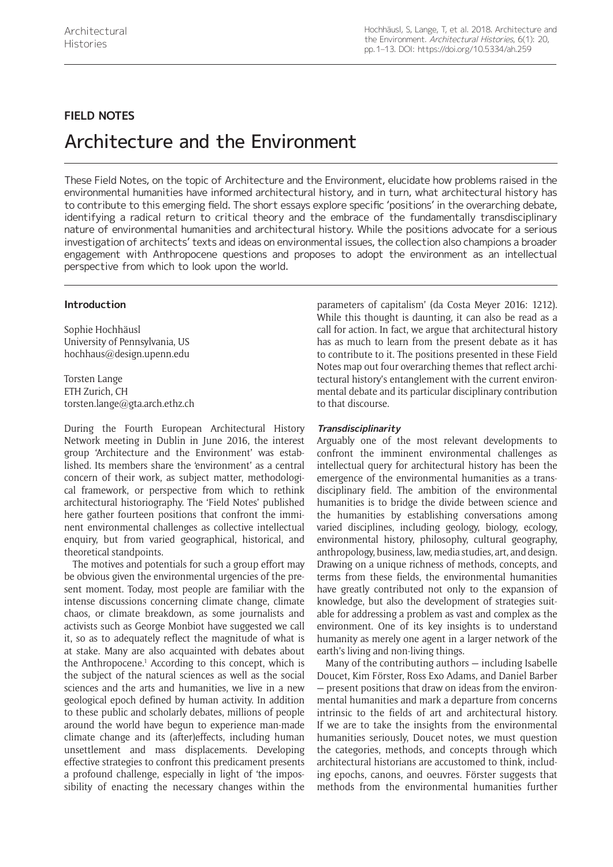## **FIELD NOTES**

# Architecture and the Environment

These Field Notes, on the topic of Architecture and the Environment, elucidate how problems raised in the environmental humanities have informed architectural history, and in turn, what architectural history has to contribute to this emerging field. The short essays explore specific 'positions' in the overarching debate, identifying a radical return to critical theory and the embrace of the fundamentally transdisciplinary nature of environmental humanities and architectural history. While the positions advocate for a serious investigation of architects' texts and ideas on environmental issues, the collection also champions a broader engagement with Anthropocene questions and proposes to adopt the environment as an intellectual perspective from which to look upon the world.

## **Introduction**

Sophie Hochhäusl University of Pennsylvania, US [hochhaus@design.upenn.edu](mailto:hochhaus@design.upenn.edu)

Torsten Lange ETH Zurich, CH [torsten.lange@gta.arch.ethz.ch](mailto:torsten.lange@gta.arch.ethz.ch)

During the Fourth European Architectural History Network meeting in Dublin in June 2016, the interest group 'Architecture and the Environment' was established. Its members share the 'environment' as a central concern of their work, as subject matter, methodological framework, or perspective from which to rethink architectural historiography. The 'Field Notes' published here gather fourteen positions that confront the imminent environmental challenges as collective intellectual enquiry, but from varied geographical, historical, and theoretical standpoints.

The motives and potentials for such a group effort may be obvious given the environmental urgencies of the present moment. Today, most people are familiar with the intense discussions concerning climate change, climate chaos, or climate breakdown, as some journalists and activists such as George Monbiot have suggested we call it, so as to adequately reflect the magnitude of what is at stake. Many are also acquainted with debates about the Anthropocene.<sup>1</sup> According to this concept, which is the subject of the natural sciences as well as the social sciences and the arts and humanities, we live in a new geological epoch defined by human activity. In addition to these public and scholarly debates, millions of people around the world have begun to experience man-made climate change and its (after)effects, including human unsettlement and mass displacements. Developing effective strategies to confront this predicament presents a profound challenge, especially in light of 'the impossibility of enacting the necessary changes within the

parameters of capitalism' (da Costa Meyer 2016: 1212). While this thought is daunting, it can also be read as a call for action. In fact, we argue that architectural history has as much to learn from the present debate as it has to contribute to it. The positions presented in these Field Notes map out four overarching themes that reflect architectural history's entanglement with the current environmental debate and its particular disciplinary contribution to that discourse.

## **Transdisciplinarity**

Arguably one of the most relevant developments to confront the imminent environmental challenges as intellectual query for architectural history has been the emergence of the environmental humanities as a transdisciplinary field. The ambition of the environmental humanities is to bridge the divide between science and the humanities by establishing conversations among varied disciplines, including geology, biology, ecology, environmental history, philosophy, cultural geography, anthropology, business, law, media studies, art, and design. Drawing on a unique richness of methods, concepts, and terms from these fields, the environmental humanities have greatly contributed not only to the expansion of knowledge, but also the development of strategies suitable for addressing a problem as vast and complex as the environment. One of its key insights is to understand humanity as merely one agent in a larger network of the earth's living and non-living things.

Many of the contributing authors — including Isabelle Doucet, Kim Förster, Ross Exo Adams, and Daniel Barber — present positions that draw on ideas from the environmental humanities and mark a departure from concerns intrinsic to the fields of art and architectural history. If we are to take the insights from the environmental humanities seriously, Doucet notes, we must question the categories, methods, and concepts through which architectural historians are accustomed to think, including epochs, canons, and oeuvres. Förster suggests that methods from the environmental humanities further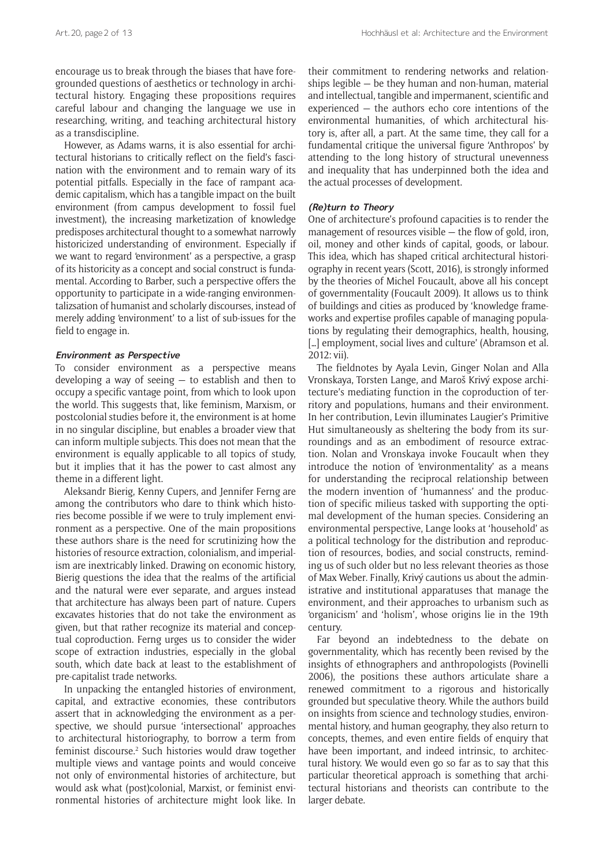encourage us to break through the biases that have foregrounded questions of aesthetics or technology in architectural history. Engaging these propositions requires careful labour and changing the language we use in researching, writing, and teaching architectural history as a transdiscipline.

However, as Adams warns, it is also essential for architectural historians to critically reflect on the field's fascination with the environment and to remain wary of its potential pitfalls. Especially in the face of rampant academic capitalism, which has a tangible impact on the built environment (from campus development to fossil fuel investment), the increasing marketization of knowledge predisposes architectural thought to a somewhat narrowly historicized understanding of environment. Especially if we want to regard 'environment' as a perspective, a grasp of its historicity as a concept and social construct is fundamental. According to Barber, such a perspective offers the opportunity to participate in a wide-ranging environmentalizsation of humanist and scholarly discourses, instead of merely adding 'environment' to a list of sub-issues for the field to engage in.

## **Environment as Perspective**

To consider environment as a perspective means developing a way of seeing — to establish and then to occupy a specific vantage point, from which to look upon the world. This suggests that, like feminism, Marxism, or postcolonial studies before it, the environment is at home in no singular discipline, but enables a broader view that can inform multiple subjects. This does not mean that the environment is equally applicable to all topics of study, but it implies that it has the power to cast almost any theme in a different light.

Aleksandr Bierig, Kenny Cupers, and Jennifer Ferng are among the contributors who dare to think which histories become possible if we were to truly implement environment as a perspective. One of the main propositions these authors share is the need for scrutinizing how the histories of resource extraction, colonialism, and imperialism are inextricably linked. Drawing on economic history, Bierig questions the idea that the realms of the artificial and the natural were ever separate, and argues instead that architecture has always been part of nature. Cupers excavates histories that do not take the environment as given, but that rather recognize its material and conceptual coproduction. Ferng urges us to consider the wider scope of extraction industries, especially in the global south, which date back at least to the establishment of pre-capitalist trade networks.

In unpacking the entangled histories of environment, capital, and extractive economies, these contributors assert that in acknowledging the environment as a perspective, we should pursue 'intersectional' approaches to architectural historiography, to borrow a term from feminist discourse.<sup>2</sup> Such histories would draw together multiple views and vantage points and would conceive not only of environmental histories of architecture, but would ask what (post)colonial, Marxist, or feminist environmental histories of architecture might look like. In

their commitment to rendering networks and relationships legible — be they human and non-human, material and intellectual, tangible and impermanent, scientific and experienced — the authors echo core intentions of the environmental humanities, of which architectural history is, after all, a part. At the same time, they call for a fundamental critique the universal figure 'Anthropos' by attending to the long history of structural unevenness and inequality that has underpinned both the idea and the actual processes of development.

## **(Re)turn to Theory**

One of architecture's profound capacities is to render the management of resources visible — the flow of gold, iron, oil, money and other kinds of capital, goods, or labour. This idea, which has shaped critical architectural historiography in recent years (Scott, 2016), is strongly informed by the theories of Michel Foucault, above all his concept of governmentality (Foucault 2009). It allows us to think of buildings and cities as produced by 'knowledge frameworks and expertise profiles capable of managing populations by regulating their demographics, health, housing, [...] employment, social lives and culture' (Abramson et al. 2012: vii).

The fieldnotes by Ayala Levin, Ginger Nolan and Alla Vronskaya, Torsten Lange, and Maroš Krivý expose architecture's mediating function in the coproduction of territory and populations, humans and their environment. In her contribution, Levin illuminates Laugier's Primitive Hut simultaneously as sheltering the body from its surroundings and as an embodiment of resource extraction. Nolan and Vronskaya invoke Foucault when they introduce the notion of 'environmentality' as a means for understanding the reciprocal relationship between the modern invention of 'humanness' and the production of specific milieus tasked with supporting the optimal development of the human species. Considering an environmental perspective, Lange looks at 'household' as a political technology for the distribution and reproduction of resources, bodies, and social constructs, reminding us of such older but no less relevant theories as those of Max Weber. Finally, Krivý cautions us about the administrative and institutional apparatuses that manage the environment, and their approaches to urbanism such as 'organicism' and 'holism', whose origins lie in the 19th century.

Far beyond an indebtedness to the debate on governmentality, which has recently been revised by the insights of ethnographers and anthropologists (Povinelli 2006), the positions these authors articulate share a renewed commitment to a rigorous and historically grounded but speculative theory. While the authors build on insights from science and technology studies, environmental history, and human geography, they also return to concepts, themes, and even entire fields of enquiry that have been important, and indeed intrinsic, to architectural history. We would even go so far as to say that this particular theoretical approach is something that architectural historians and theorists can contribute to the larger debate.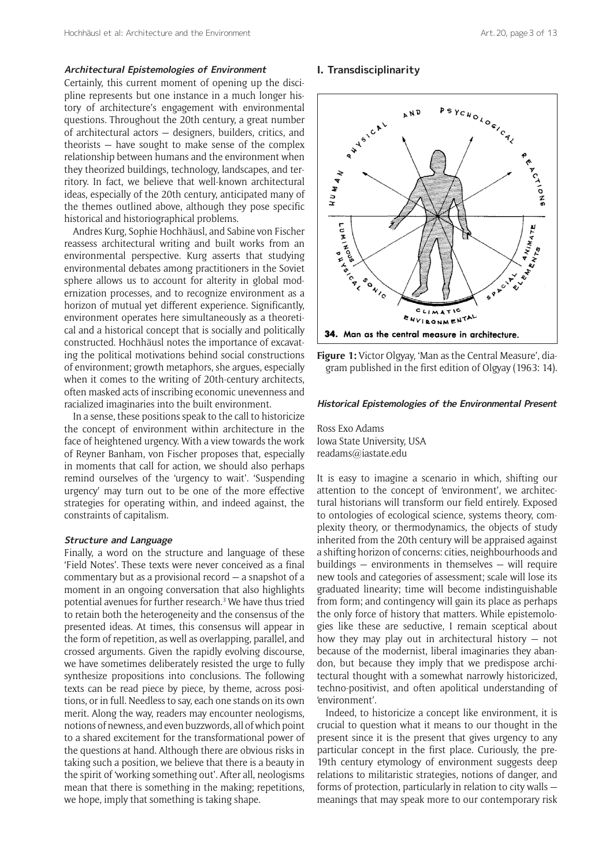### **Architectural Epistemologies of Environment**

Certainly, this current moment of opening up the discipline represents but one instance in a much longer history of architecture's engagement with environmental questions. Throughout the 20th century, a great number of architectural actors — designers, builders, critics, and theorists — have sought to make sense of the complex relationship between humans and the environment when they theorized buildings, technology, landscapes, and territory. In fact, we believe that well-known architectural ideas, especially of the 20th century, anticipated many of the themes outlined above, although they pose specific historical and historiographical problems.

Andres Kurg, Sophie Hochhäusl, and Sabine von Fischer reassess architectural writing and built works from an environmental perspective. Kurg asserts that studying environmental debates among practitioners in the Soviet sphere allows us to account for alterity in global modernization processes, and to recognize environment as a horizon of mutual yet different experience. Significantly, environment operates here simultaneously as a theoretical and a historical concept that is socially and politically constructed. Hochhäusl notes the importance of excavating the political motivations behind social constructions of environment; growth metaphors, she argues, especially when it comes to the writing of 20th-century architects, often masked acts of inscribing economic unevenness and racialized imaginaries into the built environment.

In a sense, these positions speak to the call to historicize the concept of environment within architecture in the face of heightened urgency. With a view towards the work of Reyner Banham, von Fischer proposes that, especially in moments that call for action, we should also perhaps remind ourselves of the 'urgency to wait'. 'Suspending urgency' may turn out to be one of the more effective strategies for operating within, and indeed against, the constraints of capitalism.

#### **Structure and Language**

Finally, a word on the structure and language of these 'Field Notes'. These texts were never conceived as a final commentary but as a provisional record — a snapshot of a moment in an ongoing conversation that also highlights potential avenues for further research.<sup>3</sup> We have thus tried to retain both the heterogeneity and the consensus of the presented ideas. At times, this consensus will appear in the form of repetition, as well as overlapping, parallel, and crossed arguments. Given the rapidly evolving discourse, we have sometimes deliberately resisted the urge to fully synthesize propositions into conclusions. The following texts can be read piece by piece, by theme, across positions, or in full. Needless to say, each one stands on its own merit. Along the way, readers may encounter neologisms, notions of newness, and even buzzwords, all of which point to a shared excitement for the transformational power of the questions at hand. Although there are obvious risks in taking such a position, we believe that there is a beauty in the spirit of 'working something out'. After all, neologisms mean that there is something in the making; repetitions, we hope, imply that something is taking shape.

#### **I. Transdisciplinarity**



**Figure 1:** Victor Olgyay, 'Man as the Central Measure', diagram published in the first edition of Olgyay (1963: 14).

#### **Historical Epistemologies of the Environmental Present**

Ross Exo Adams Iowa State University, USA [readams@iastate.edu](mailto:readams@iastate.edu)

It is easy to imagine a scenario in which, shifting our attention to the concept of 'environment', we architectural historians will transform our field entirely. Exposed to ontologies of ecological science, systems theory, complexity theory, or thermodynamics, the objects of study inherited from the 20th century will be appraised against a shifting horizon of concerns: cities, neighbourhoods and buildings — environments in themselves — will require new tools and categories of assessment; scale will lose its graduated linearity; time will become indistinguishable from form; and contingency will gain its place as perhaps the only force of history that matters. While epistemologies like these are seductive, I remain sceptical about how they may play out in architectural history — not because of the modernist, liberal imaginaries they abandon, but because they imply that we predispose architectural thought with a somewhat narrowly historicized, techno-positivist, and often apolitical understanding of 'environment'.

Indeed, to historicize a concept like environment, it is crucial to question what it means to our thought in the present since it is the present that gives urgency to any particular concept in the first place. Curiously, the pre-19th century etymology of environment suggests deep relations to militaristic strategies, notions of danger, and forms of protection, particularly in relation to city walls meanings that may speak more to our contemporary risk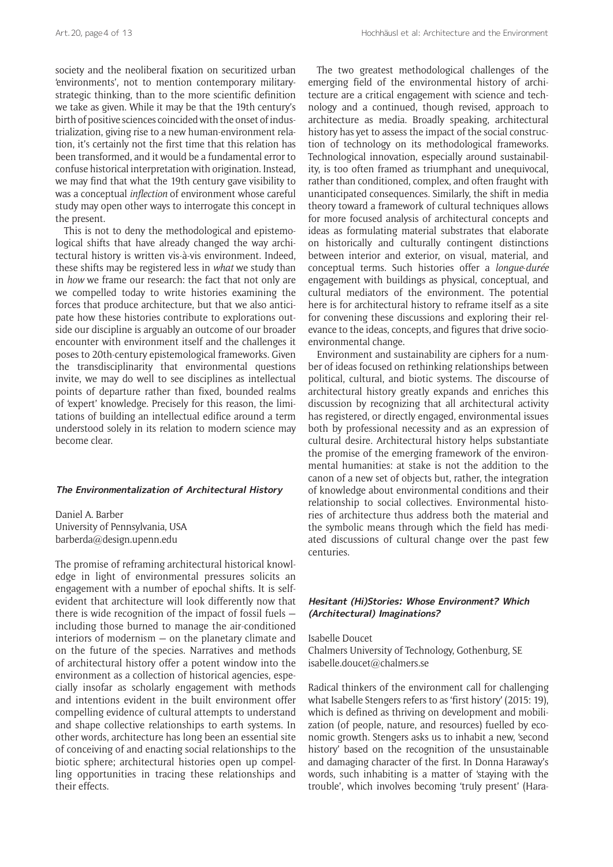society and the neoliberal fixation on securitized urban 'environments', not to mention contemporary militarystrategic thinking, than to the more scientific definition we take as given. While it may be that the 19th century's birth of positive sciences coincided with the onset of industrialization, giving rise to a new human-environment relation, it's certainly not the first time that this relation has been transformed, and it would be a fundamental error to confuse historical interpretation with origination. Instead, we may find that what the 19th century gave visibility to was a conceptual *inflection* of environment whose careful study may open other ways to interrogate this concept in the present.

This is not to deny the methodological and epistemological shifts that have already changed the way architectural history is written vis-à-vis environment. Indeed, these shifts may be registered less in *what* we study than in *how* we frame our research: the fact that not only are we compelled today to write histories examining the forces that produce architecture, but that we also anticipate how these histories contribute to explorations outside our discipline is arguably an outcome of our broader encounter with environment itself and the challenges it poses to 20th-century epistemological frameworks. Given the transdisciplinarity that environmental questions invite, we may do well to see disciplines as intellectual points of departure rather than fixed, bounded realms of 'expert' knowledge. Precisely for this reason, the limitations of building an intellectual edifice around a term understood solely in its relation to modern science may become clear.

#### **The Environmentalization of Architectural History**

Daniel A. Barber University of Pennsylvania, USA [barberda@design.upenn.edu](mailto:barberda@design.upenn.edu)

The promise of reframing architectural historical knowledge in light of environmental pressures solicits an engagement with a number of epochal shifts. It is selfevident that architecture will look differently now that there is wide recognition of the impact of fossil fuels including those burned to manage the air-conditioned interiors of modernism — on the planetary climate and on the future of the species. Narratives and methods of architectural history offer a potent window into the environment as a collection of historical agencies, especially insofar as scholarly engagement with methods and intentions evident in the built environment offer compelling evidence of cultural attempts to understand and shape collective relationships to earth systems. In other words, architecture has long been an essential site of conceiving of and enacting social relationships to the biotic sphere; architectural histories open up compelling opportunities in tracing these relationships and their effects.

The two greatest methodological challenges of the emerging field of the environmental history of architecture are a critical engagement with science and technology and a continued, though revised, approach to architecture as media. Broadly speaking, architectural history has yet to assess the impact of the social construction of technology on its methodological frameworks. Technological innovation, especially around sustainability, is too often framed as triumphant and unequivocal, rather than conditioned, complex, and often fraught with unanticipated consequences. Similarly, the shift in media theory toward a framework of cultural techniques allows for more focused analysis of architectural concepts and ideas as formulating material substrates that elaborate on historically and culturally contingent distinctions between interior and exterior, on visual, material, and conceptual terms. Such histories offer a *longue*-*durée* engagement with buildings as physical, conceptual, and cultural mediators of the environment. The potential here is for architectural history to reframe itself as a site for convening these discussions and exploring their relevance to the ideas, concepts, and figures that drive socioenvironmental change.

Environment and sustainability are ciphers for a number of ideas focused on rethinking relationships between political, cultural, and biotic systems. The discourse of architectural history greatly expands and enriches this discussion by recognizing that all architectural activity has registered, or directly engaged, environmental issues both by professional necessity and as an expression of cultural desire. Architectural history helps substantiate the promise of the emerging framework of the environmental humanities: at stake is not the addition to the canon of a new set of objects but, rather, the integration of knowledge about environmental conditions and their relationship to social collectives. Environmental histories of architecture thus address both the material and the symbolic means through which the field has mediated discussions of cultural change over the past few centuries.

## **Hesitant (Hi)Stories: Whose Environment? Which (Architectural) Imaginations?**

Isabelle Doucet Chalmers University of Technology, Gothenburg, SE [isabelle.doucet@chalmers.se](mailto:isabelle.doucet@chalmers.se)

Radical thinkers of the environment call for challenging what Isabelle Stengers refers to as 'first history' (2015: 19), which is defined as thriving on development and mobilization (of people, nature, and resources) fuelled by economic growth. Stengers asks us to inhabit a new, 'second history' based on the recognition of the unsustainable and damaging character of the first. In Donna Haraway's words, such inhabiting is a matter of 'staying with the trouble', which involves becoming 'truly present' (Hara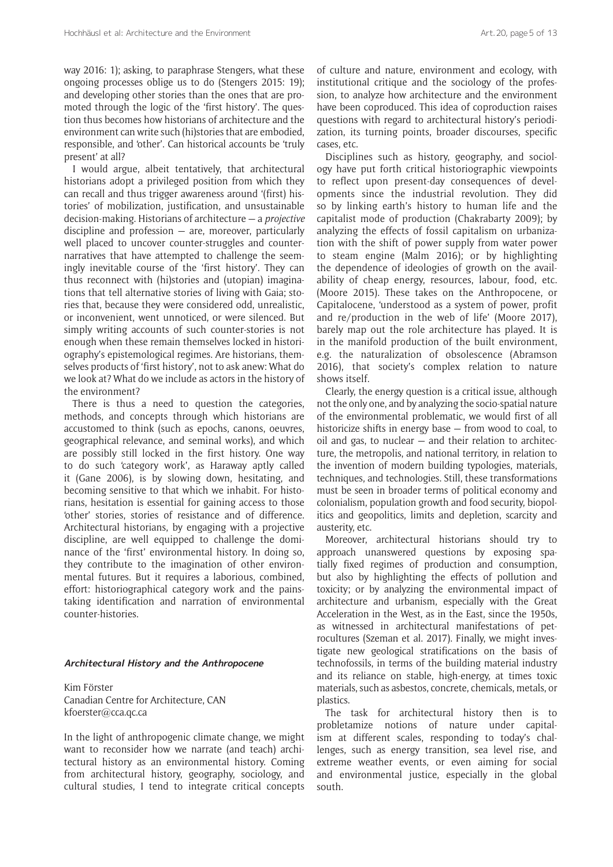way 2016: 1); asking, to paraphrase Stengers, what these ongoing processes oblige us to do (Stengers 2015: 19); and developing other stories than the ones that are promoted through the logic of the 'first history'. The question thus becomes how historians of architecture and the environment can write such (hi)stories that are embodied, responsible, and 'other'. Can historical accounts be 'truly present' at all?

I would argue, albeit tentatively, that architectural historians adopt a privileged position from which they can recall and thus trigger awareness around '(first) histories' of mobilization, justification, and unsustainable decision-making. Historians of architecture — a *projective* discipline and profession — are, moreover, particularly well placed to uncover counter-struggles and counternarratives that have attempted to challenge the seemingly inevitable course of the 'first history'. They can thus reconnect with (hi)stories and (utopian) imaginations that tell alternative stories of living with Gaia; stories that, because they were considered odd, unrealistic, or inconvenient, went unnoticed, or were silenced. But simply writing accounts of such counter-stories is not enough when these remain themselves locked in historiography's epistemological regimes. Are historians, themselves products of 'first history', not to ask anew: What do we look at? What do we include as actors in the history of the environment?

There is thus a need to question the categories, methods, and concepts through which historians are accustomed to think (such as epochs, canons, oeuvres, geographical relevance, and seminal works), and which are possibly still locked in the first history. One way to do such 'category work', as Haraway aptly called it (Gane 2006), is by slowing down, hesitating, and becoming sensitive to that which we inhabit. For historians, hesitation is essential for gaining access to those 'other' stories, stories of resistance and of difference. Architectural historians, by engaging with a projective discipline, are well equipped to challenge the dominance of the 'first' environmental history. In doing so, they contribute to the imagination of other environmental futures. But it requires a laborious, combined, effort: historiographical category work and the painstaking identification and narration of environmental counter-histories.

#### **Architectural History and the Anthropocene**

Kim Förster Canadian Centre for Architecture, CAN [kfoerster@cca.qc.ca](mailto:kfoerster@cca.qc.ca)

In the light of anthropogenic climate change, we might want to reconsider how we narrate (and teach) architectural history as an environmental history. Coming from architectural history, geography, sociology, and cultural studies, I tend to integrate critical concepts of culture and nature, environment and ecology, with institutional critique and the sociology of the profession, to analyze how architecture and the environment have been coproduced. This idea of coproduction raises questions with regard to architectural history's periodization, its turning points, broader discourses, specific cases, etc.

Disciplines such as history, geography, and sociology have put forth critical historiographic viewpoints to reflect upon present-day consequences of developments since the industrial revolution. They did so by linking earth's history to human life and the capitalist mode of production (Chakrabarty 2009); by analyzing the effects of fossil capitalism on urbanization with the shift of power supply from water power to steam engine (Malm 2016); or by highlighting the dependence of ideologies of growth on the availability of cheap energy, resources, labour, food, etc. (Moore 2015). These takes on the Anthropocene, or Capitalocene, 'understood as a system of power, profit and re/production in the web of life' (Moore 2017), barely map out the role architecture has played. It is in the manifold production of the built environment, e.g. the naturalization of obsolescence (Abramson 2016), that society's complex relation to nature shows itself.

Clearly, the energy question is a critical issue, although not the only one, and by analyzing the socio-spatial nature of the environmental problematic, we would first of all historicize shifts in energy base — from wood to coal, to oil and gas, to nuclear — and their relation to architecture, the metropolis, and national territory, in relation to the invention of modern building typologies, materials, techniques, and technologies. Still, these transformations must be seen in broader terms of political economy and colonialism, population growth and food security, biopolitics and geopolitics, limits and depletion, scarcity and austerity, etc.

Moreover, architectural historians should try to approach unanswered questions by exposing spatially fixed regimes of production and consumption, but also by highlighting the effects of pollution and toxicity; or by analyzing the environmental impact of architecture and urbanism, especially with the Great Acceleration in the West, as in the East, since the 1950s, as witnessed in architectural manifestations of petrocultures (Szeman et al. 2017). Finally, we might investigate new geological stratifications on the basis of technofossils, in terms of the building material industry and its reliance on stable, high-energy, at times toxic materials, such as asbestos, concrete, chemicals, metals, or plastics.

The task for architectural history then is to probletamize notions of nature under capitalism at different scales, responding to today's challenges, such as energy transition, sea level rise, and extreme weather events, or even aiming for social and environmental justice, especially in the global south.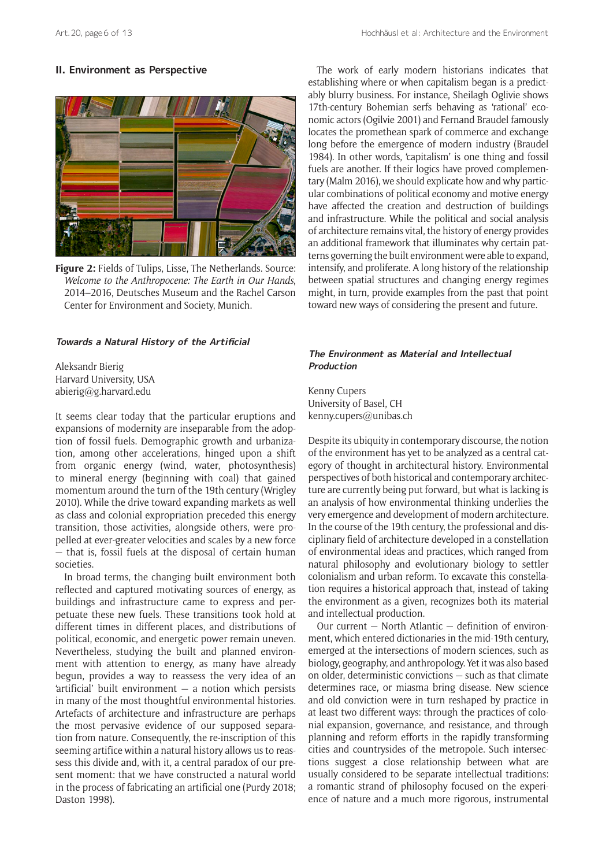## **II. Environment as Perspective**



**Figure 2:** Fields of Tulips, Lisse, The Netherlands. Source: *Welcome to the Anthropocene: The Earth in Our Hands*, 2014–2016, Deutsches Museum and the Rachel Carson Center for Environment and Society, Munich.

#### **Towards a Natural History of the Artificial**

Aleksandr Bierig Harvard University, USA [abierig@g.harvard.edu](mailto:abierig@g.harvard.edu)

It seems clear today that the particular eruptions and expansions of modernity are inseparable from the adoption of fossil fuels. Demographic growth and urbanization, among other accelerations, hinged upon a shift from organic energy (wind, water, photosynthesis) to mineral energy (beginning with coal) that gained momentum around the turn of the 19th century (Wrigley 2010). While the drive toward expanding markets as well as class and colonial expropriation preceded this energy transition, those activities, alongside others, were propelled at ever-greater velocities and scales by a new force — that is, fossil fuels at the disposal of certain human societies.

In broad terms, the changing built environment both reflected and captured motivating sources of energy, as buildings and infrastructure came to express and perpetuate these new fuels. These transitions took hold at different times in different places, and distributions of political, economic, and energetic power remain uneven. Nevertheless, studying the built and planned environment with attention to energy, as many have already begun, provides a way to reassess the very idea of an 'artificial' built environment — a notion which persists in many of the most thoughtful environmental histories. Artefacts of architecture and infrastructure are perhaps the most pervasive evidence of our supposed separation from nature. Consequently, the re-inscription of this seeming artifice within a natural history allows us to reassess this divide and, with it, a central paradox of our present moment: that we have constructed a natural world in the process of fabricating an artificial one (Purdy 2018; Daston 1998).

The work of early modern historians indicates that establishing where or when capitalism began is a predictably blurry business. For instance, Sheilagh Oglivie shows 17th-century Bohemian serfs behaving as 'rational' economic actors (Ogilvie 2001) and Fernand Braudel famously locates the promethean spark of commerce and exchange long before the emergence of modern industry (Braudel 1984). In other words, 'capitalism' is one thing and fossil fuels are another. If their logics have proved complementary (Malm 2016), we should explicate how and why particular combinations of political economy and motive energy have affected the creation and destruction of buildings and infrastructure. While the political and social analysis of architecture remains vital, the history of energy provides an additional framework that illuminates why certain patterns governing the built environment were able to expand, intensify, and proliferate. A long history of the relationship between spatial structures and changing energy regimes might, in turn, provide examples from the past that point toward new ways of considering the present and future.

## **The Environment as Material and Intellectual Production**

Kenny Cupers University of Basel, CH [kenny.cupers@unibas.ch](mailto:kenny.cupers@unibas.ch)

Despite its ubiquity in contemporary discourse, the notion of the environment has yet to be analyzed as a central category of thought in architectural history. Environmental perspectives of both historical and contemporary architecture are currently being put forward, but what is lacking is an analysis of how environmental thinking underlies the very emergence and development of modern architecture. In the course of the 19th century, the professional and disciplinary field of architecture developed in a constellation of environmental ideas and practices, which ranged from natural philosophy and evolutionary biology to settler colonialism and urban reform. To excavate this constellation requires a historical approach that, instead of taking the environment as a given, recognizes both its material and intellectual production.

Our current — North Atlantic — definition of environment, which entered dictionaries in the mid-19th century, emerged at the intersections of modern sciences, such as biology, geography, and anthropology. Yet it was also based on older, deterministic convictions — such as that climate determines race, or miasma bring disease. New science and old conviction were in turn reshaped by practice in at least two different ways: through the practices of colonial expansion, governance, and resistance, and through planning and reform efforts in the rapidly transforming cities and countrysides of the metropole. Such intersections suggest a close relationship between what are usually considered to be separate intellectual traditions: a romantic strand of philosophy focused on the experience of nature and a much more rigorous, instrumental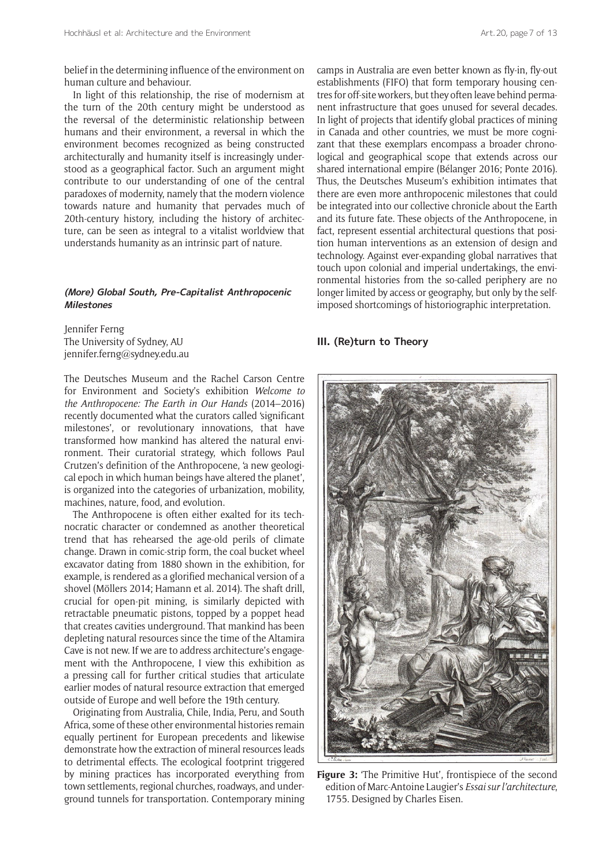belief in the determining influence of the environment on human culture and behaviour.

In light of this relationship, the rise of modernism at the turn of the 20th century might be understood as the reversal of the deterministic relationship between humans and their environment, a reversal in which the environment becomes recognized as being constructed architecturally and humanity itself is increasingly understood as a geographical factor. Such an argument might contribute to our understanding of one of the central paradoxes of modernity, namely that the modern violence towards nature and humanity that pervades much of 20th-century history, including the history of architecture, can be seen as integral to a vitalist worldview that understands humanity as an intrinsic part of nature.

## **(More) Global South, Pre-Capitalist Anthropocenic Milestones**

Jennifer Ferng The University of Sydney, AU [jennifer.ferng@sydney.edu.au](mailto:jennifer.ferng@sydney.edu.au)

The Deutsches Museum and the Rachel Carson Centre for Environment and Society's exhibition *Welcome to the Anthropocene: The Earth in Our Hands* (2014–2016) recently documented what the curators called 'significant milestones', or revolutionary innovations, that have transformed how mankind has altered the natural environment. Their curatorial strategy, which follows Paul Crutzen's definition of the Anthropocene, 'a new geological epoch in which human beings have altered the planet', is organized into the categories of urbanization, mobility, machines, nature, food, and evolution.

The Anthropocene is often either exalted for its technocratic character or condemned as another theoretical trend that has rehearsed the age-old perils of climate change. Drawn in comic-strip form, the coal bucket wheel excavator dating from 1880 shown in the exhibition, for example, is rendered as a glorified mechanical version of a shovel (Möllers 2014; Hamann et al. 2014). The shaft drill, crucial for open-pit mining, is similarly depicted with retractable pneumatic pistons, topped by a poppet head that creates cavities underground. That mankind has been depleting natural resources since the time of the Altamira Cave is not new. If we are to address architecture's engagement with the Anthropocene, I view this exhibition as a pressing call for further critical studies that articulate earlier modes of natural resource extraction that emerged outside of Europe and well before the 19th century.

Originating from Australia, Chile, India, Peru, and South Africa, some of these other environmental histories remain equally pertinent for European precedents and likewise demonstrate how the extraction of mineral resources leads to detrimental effects. The ecological footprint triggered by mining practices has incorporated everything from town settlements, regional churches, roadways, and underground tunnels for transportation. Contemporary mining camps in Australia are even better known as fly-in, fly-out establishments (FIFO) that form temporary housing centres for off-site workers, but they often leave behind permanent infrastructure that goes unused for several decades. In light of projects that identify global practices of mining in Canada and other countries, we must be more cognizant that these exemplars encompass a broader chronological and geographical scope that extends across our shared international empire (Bélanger 2016; Ponte 2016). Thus, the Deutsches Museum's exhibition intimates that there are even more anthropocenic milestones that could be integrated into our collective chronicle about the Earth and its future fate. These objects of the Anthropocene, in fact, represent essential architectural questions that position human interventions as an extension of design and technology. Against ever-expanding global narratives that touch upon colonial and imperial undertakings, the environmental histories from the so-called periphery are no longer limited by access or geography, but only by the selfimposed shortcomings of historiographic interpretation.

## **III. (Re)turn to Theory**



**Figure 3:** 'The Primitive Hut', frontispiece of the second edition of Marc-Antoine Laugier's *Essai sur l'architecture*, 1755. Designed by Charles Eisen.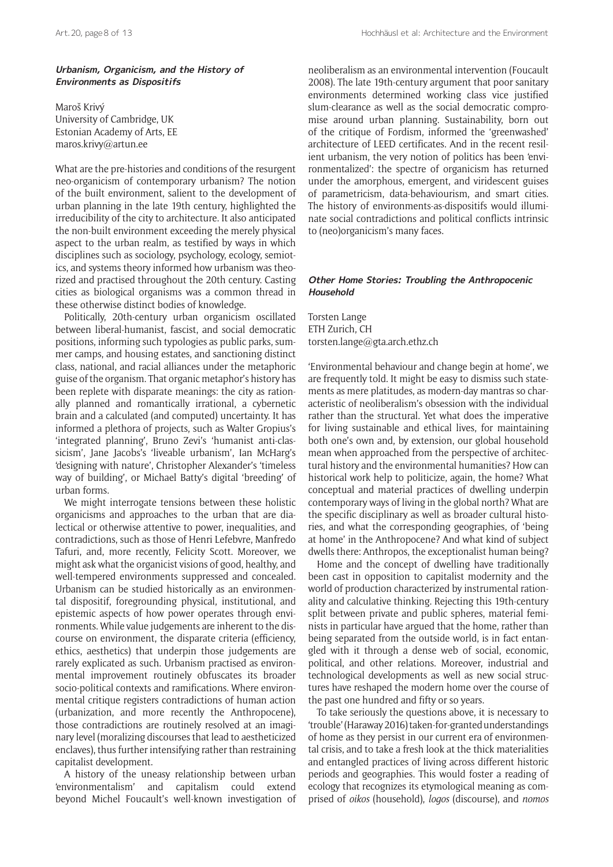## **Urbanism, Organicism, and the History of Environments as Dispositifs**

Maroš Krivý University of Cambridge, UK Estonian Academy of Arts, EE [maros.krivy@artun.ee](mailto:maros.krivy@artun.ee)

What are the pre-histories and conditions of the resurgent neo-organicism of contemporary urbanism? The notion of the built environment, salient to the development of urban planning in the late 19th century, highlighted the irreducibility of the city to architecture. It also anticipated the non-built environment exceeding the merely physical aspect to the urban realm, as testified by ways in which disciplines such as sociology, psychology, ecology, semiotics, and systems theory informed how urbanism was theorized and practised throughout the 20th century. Casting cities as biological organisms was a common thread in these otherwise distinct bodies of knowledge.

Politically, 20th-century urban organicism oscillated between liberal-humanist, fascist, and social democratic positions, informing such typologies as public parks, summer camps, and housing estates, and sanctioning distinct class, national, and racial alliances under the metaphoric guise of the organism. That organic metaphor's history has been replete with disparate meanings: the city as rationally planned and romantically irrational, a cybernetic brain and a calculated (and computed) uncertainty. It has informed a plethora of projects, such as Walter Gropius's 'integrated planning', Bruno Zevi's 'humanist anti-classicism', Jane Jacobs's 'liveable urbanism', Ian McHarg's 'designing with nature', Christopher Alexander's 'timeless way of building', or Michael Batty's digital 'breeding' of urban forms.

We might interrogate tensions between these holistic organicisms and approaches to the urban that are dialectical or otherwise attentive to power, inequalities, and contradictions, such as those of Henri Lefebvre, Manfredo Tafuri, and, more recently, Felicity Scott. Moreover, we might ask what the organicist visions of good, healthy, and well-tempered environments suppressed and concealed. Urbanism can be studied historically as an environmental dispositif, foregrounding physical, institutional, and epistemic aspects of how power operates through environments. While value judgements are inherent to the discourse on environment, the disparate criteria (efficiency, ethics, aesthetics) that underpin those judgements are rarely explicated as such. Urbanism practised as environmental improvement routinely obfuscates its broader socio-political contexts and ramifications. Where environmental critique registers contradictions of human action (urbanization, and more recently the Anthropocene), those contradictions are routinely resolved at an imaginary level (moralizing discourses that lead to aestheticized enclaves), thus further intensifying rather than restraining capitalist development.

A history of the uneasy relationship between urban 'environmentalism' and capitalism could extend beyond Michel Foucault's well-known investigation of

neoliberalism as an environmental intervention (Foucault 2008). The late 19th-century argument that poor sanitary environments determined working class vice justified slum-clearance as well as the social democratic compromise around urban planning. Sustainability, born out of the critique of Fordism, informed the 'greenwashed' architecture of LEED certificates. And in the recent resilient urbanism, the very notion of politics has been 'environmentalized': the spectre of organicism has returned under the amorphous, emergent, and viridescent guises of parametricism, data-behaviourism, and smart cities. The history of environments-as-dispositifs would illuminate social contradictions and political conflicts intrinsic to (neo)organicism's many faces.

## **Other Home Stories: Troubling the Anthropocenic Household**

Torsten Lange ETH Zurich, CH [torsten.lange@gta.arch.ethz.ch](mailto:torsten.lange@gta.arch.ethz.ch)

'Environmental behaviour and change begin at home', we are frequently told. It might be easy to dismiss such statements as mere platitudes, as modern-day mantras so characteristic of neoliberalism's obsession with the individual rather than the structural. Yet what does the imperative for living sustainable and ethical lives, for maintaining both one's own and, by extension, our global household mean when approached from the perspective of architectural history and the environmental humanities? How can historical work help to politicize, again, the home? What conceptual and material practices of dwelling underpin contemporary ways of living in the global north? What are the specific disciplinary as well as broader cultural histories, and what the corresponding geographies, of 'being at home' in the Anthropocene? And what kind of subject dwells there: Anthropos, the exceptionalist human being?

Home and the concept of dwelling have traditionally been cast in opposition to capitalist modernity and the world of production characterized by instrumental rationality and calculative thinking. Rejecting this 19th-century split between private and public spheres, material feminists in particular have argued that the home, rather than being separated from the outside world, is in fact entangled with it through a dense web of social, economic, political, and other relations. Moreover, industrial and technological developments as well as new social structures have reshaped the modern home over the course of the past one hundred and fifty or so years.

To take seriously the questions above, it is necessary to 'trouble' (Haraway 2016) taken-for-granted understandings of home as they persist in our current era of environmental crisis, and to take a fresh look at the thick materialities and entangled practices of living across different historic periods and geographies. This would foster a reading of ecology that recognizes its etymological meaning as comprised of *oikos* (household), *logos* (discourse), and *nomos*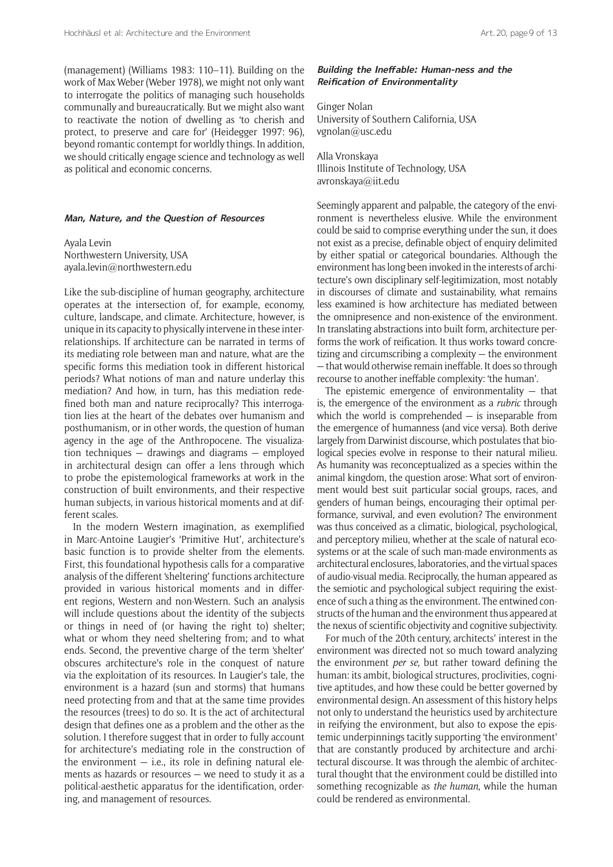(management) (Williams 1983: 110–11). Building on the work of Max Weber (Weber 1978), we might not only want to interrogate the politics of managing such households communally and bureaucratically. But we might also want to reactivate the notion of dwelling as 'to cherish and protect, to preserve and care for' (Heidegger 1997: 96), beyond romantic contempt for worldly things. In addition, we should critically engage science and technology as well as political and economic concerns.

#### **Man, Nature, and the Question of Resources**

Ayala Levin Northwestern University, USA [ayala.levin@northwestern.edu](mailto:ayala.levin@northwestern.edu)

Like the sub-discipline of human geography, architecture operates at the intersection of, for example, economy, culture, landscape, and climate. Architecture, however, is unique in its capacity to physically intervene in these interrelationships. If architecture can be narrated in terms of its mediating role between man and nature, what are the specific forms this mediation took in different historical periods? What notions of man and nature underlay this mediation? And how, in turn, has this mediation redefined both man and nature reciprocally? This interrogation lies at the heart of the debates over humanism and posthumanism, or in other words, the question of human agency in the age of the Anthropocene. The visualization techniques — drawings and diagrams — employed in architectural design can offer a lens through which to probe the epistemological frameworks at work in the construction of built environments, and their respective human subjects, in various historical moments and at different scales.

In the modern Western imagination, as exemplified in Marc-Antoine Laugier's 'Primitive Hut', architecture's basic function is to provide shelter from the elements. First, this foundational hypothesis calls for a comparative analysis of the different 'sheltering' functions architecture provided in various historical moments and in different regions, Western and non-Western. Such an analysis will include questions about the identity of the subjects or things in need of (or having the right to) shelter; what or whom they need sheltering from; and to what ends. Second, the preventive charge of the term 'shelter' obscures architecture's role in the conquest of nature via the exploitation of its resources. In Laugier's tale, the environment is a hazard (sun and storms) that humans need protecting from and that at the same time provides the resources (trees) to do so. It is the act of architectural design that defines one as a problem and the other as the solution. I therefore suggest that in order to fully account for architecture's mediating role in the construction of the environment  $-$  i.e., its role in defining natural elements as hazards or resources — we need to study it as a political-aesthetic apparatus for the identification, ordering, and management of resources.

## **Building the Ineffable: Human-ness and the Reification of Environmentality**

Ginger Nolan University of Southern California, USA [vgnolan@usc.edu](mailto:vgnolan@usc.edu)

Alla Vronskaya Illinois Institute of Technology, USA [avronskaya@iit.edu](mailto:avronskaya@iit.edu)

Seemingly apparent and palpable, the category of the environment is nevertheless elusive. While the environment could be said to comprise everything under the sun, it does not exist as a precise, definable object of enquiry delimited by either spatial or categorical boundaries. Although the environment has long been invoked in the interests of architecture's own disciplinary self-legitimization, most notably in discourses of climate and sustainability, what remains less examined is how architecture has mediated between the omnipresence and non-existence of the environment. In translating abstractions into built form, architecture performs the work of reification. It thus works toward concretizing and circumscribing a complexity — the environment — that would otherwise remain ineffable. It does so through recourse to another ineffable complexity: 'the human'.

The epistemic emergence of environmentality  $-$  that is, the emergence of the environment as a *rubric* through which the world is comprehended  $-$  is inseparable from the emergence of humanness (and vice versa). Both derive largely from Darwinist discourse, which postulates that biological species evolve in response to their natural milieu. As humanity was reconceptualized as a species within the animal kingdom, the question arose: What sort of environment would best suit particular social groups, races, and genders of human beings, encouraging their optimal performance, survival, and even evolution? The environment was thus conceived as a climatic, biological, psychological, and perceptory milieu, whether at the scale of natural ecosystems or at the scale of such man-made environments as architectural enclosures, laboratories, and the virtual spaces of audio-visual media. Reciprocally, the human appeared as the semiotic and psychological subject requiring the existence of such a thing as the environment. The entwined constructs of the human and the environment thus appeared at the nexus of scientific objectivity and cognitive subjectivity.

For much of the 20th century, architects' interest in the environment was directed not so much toward analyzing the environment *per se*, but rather toward defining the human: its ambit, biological structures, proclivities, cognitive aptitudes, and how these could be better governed by environmental design. An assessment of this history helps not only to understand the heuristics used by architecture in reifying the environment, but also to expose the epistemic underpinnings tacitly supporting 'the environment' that are constantly produced by architecture and architectural discourse. It was through the alembic of architectural thought that the environment could be distilled into something recognizable as *the human*, while the human could be rendered as environmental.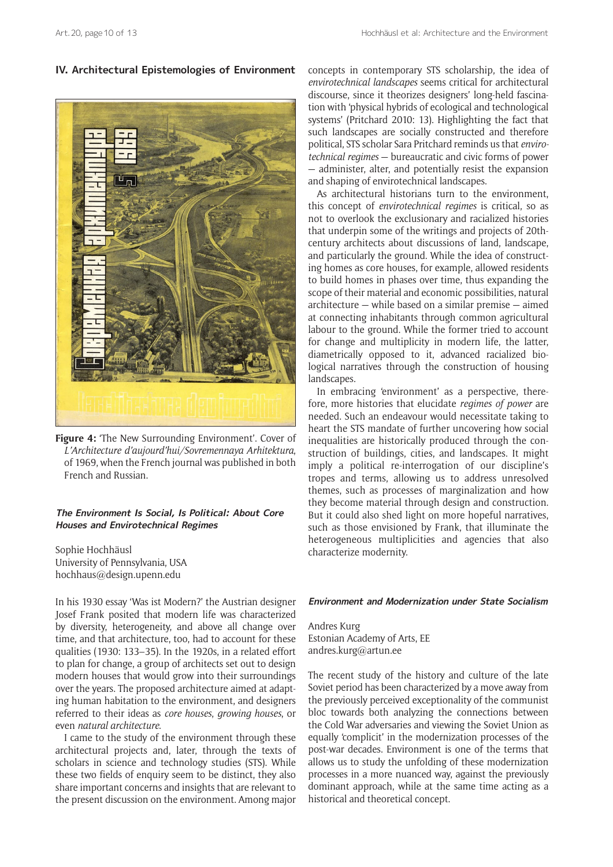## **IV. Architectural Epistemologies of Environment**



**Figure 4:** 'The New Surrounding Environment'. Cover of *L'Architecture d'aujourd'hui/Sovremennaya Arhitektura*, of 1969, when the French journal was published in both French and Russian.

## **The Environment Is Social, Is Political: About Core Houses and Envirotechnical Regimes**

Sophie Hochhäusl University of Pennsylvania, USA [hochhaus@design.upenn.edu](mailto:hochhaus@design.upenn.edu)

In his 1930 essay 'Was ist Modern?' the Austrian designer Josef Frank posited that modern life was characterized by diversity, heterogeneity, and above all change over time, and that architecture, too, had to account for these qualities (1930: 133–35). In the 1920s, in a related effort to plan for change, a group of architects set out to design modern houses that would grow into their surroundings over the years. The proposed architecture aimed at adapting human habitation to the environment, and designers referred to their ideas as *core houses*, *growing houses*, or even *natural architecture*.

I came to the study of the environment through these architectural projects and, later, through the texts of scholars in science and technology studies (STS). While these two fields of enquiry seem to be distinct, they also share important concerns and insights that are relevant to the present discussion on the environment. Among major

concepts in contemporary STS scholarship, the idea of *envirotechnical landscapes* seems critical for architectural discourse, since it theorizes designers' long-held fascination with 'physical hybrids of ecological and technological systems' (Pritchard 2010: 13). Highlighting the fact that such landscapes are socially constructed and therefore political, STS scholar Sara Pritchard reminds us that *envirotechnical regimes* — bureaucratic and civic forms of power — administer, alter, and potentially resist the expansion and shaping of envirotechnical landscapes.

As architectural historians turn to the environment, this concept of *envirotechnical regimes* is critical, so as not to overlook the exclusionary and racialized histories that underpin some of the writings and projects of 20thcentury architects about discussions of land, landscape, and particularly the ground. While the idea of constructing homes as core houses, for example, allowed residents to build homes in phases over time, thus expanding the scope of their material and economic possibilities, natural architecture — while based on a similar premise — aimed at connecting inhabitants through common agricultural labour to the ground. While the former tried to account for change and multiplicity in modern life, the latter, diametrically opposed to it, advanced racialized biological narratives through the construction of housing landscapes.

In embracing 'environment' as a perspective, therefore, more histories that elucidate *regimes of power* are needed. Such an endeavour would necessitate taking to heart the STS mandate of further uncovering how social inequalities are historically produced through the construction of buildings, cities, and landscapes. It might imply a political re-interrogation of our discipline's tropes and terms, allowing us to address unresolved themes, such as processes of marginalization and how they become material through design and construction. But it could also shed light on more hopeful narratives, such as those envisioned by Frank, that illuminate the heterogeneous multiplicities and agencies that also characterize modernity.

## **Environment and Modernization under State Socialism**

Andres Kurg Estonian Academy of Arts, EE [andres.kurg@artun.ee](mailto:andres.kurg@artun.ee)

The recent study of the history and culture of the late Soviet period has been characterized by a move away from the previously perceived exceptionality of the communist bloc towards both analyzing the connections between the Cold War adversaries and viewing the Soviet Union as equally 'complicit' in the modernization processes of the post-war decades. Environment is one of the terms that allows us to study the unfolding of these modernization processes in a more nuanced way, against the previously dominant approach, while at the same time acting as a historical and theoretical concept.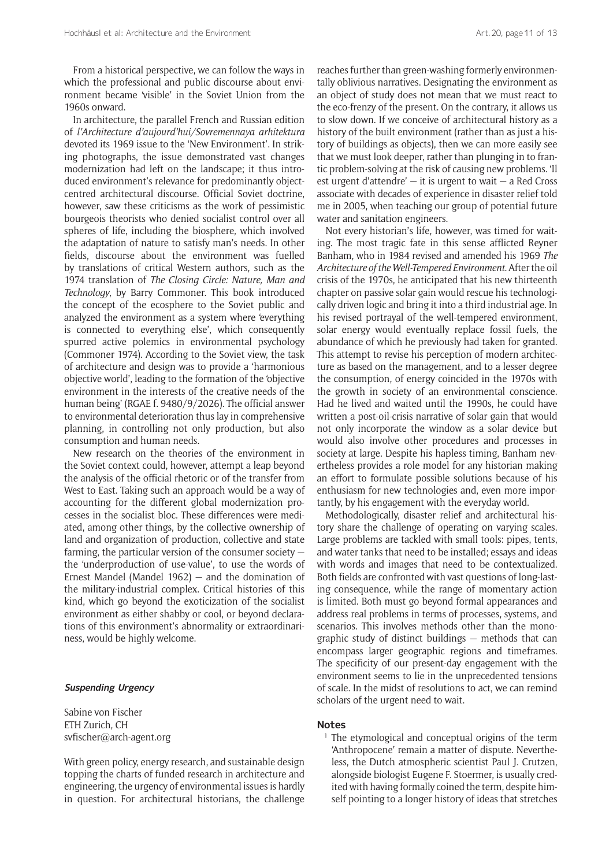From a historical perspective, we can follow the ways in which the professional and public discourse about environment became 'visible' in the Soviet Union from the 1960s onward.

In architecture, the parallel French and Russian edition of *l'Architecture d'aujourd'hui/Sovremennaya arhitektura* devoted its 1969 issue to the 'New Environment'. In striking photographs, the issue demonstrated vast changes modernization had left on the landscape; it thus introduced environment's relevance for predominantly objectcentred architectural discourse. Official Soviet doctrine, however, saw these criticisms as the work of pessimistic bourgeois theorists who denied socialist control over all spheres of life, including the biosphere, which involved the adaptation of nature to satisfy man's needs. In other fields, discourse about the environment was fuelled by translations of critical Western authors, such as the 1974 translation of *The Closing Circle: Nature, Man and Technology*, by Barry Commoner. This book introduced the concept of the ecosphere to the Soviet public and analyzed the environment as a system where 'everything is connected to everything else', which consequently spurred active polemics in environmental psychology (Commoner 1974). According to the Soviet view, the task of architecture and design was to provide a 'harmonious objective world', leading to the formation of the 'objective environment in the interests of the creative needs of the human being' (RGAE f. 9480/9/2026). The official answer to environmental deterioration thus lay in comprehensive planning, in controlling not only production, but also consumption and human needs.

New research on the theories of the environment in the Soviet context could, however, attempt a leap beyond the analysis of the official rhetoric or of the transfer from West to East. Taking such an approach would be a way of accounting for the different global modernization processes in the socialist bloc. These differences were mediated, among other things, by the collective ownership of land and organization of production, collective and state farming, the particular version of the consumer society the 'underproduction of use-value', to use the words of Ernest Mandel (Mandel 1962) — and the domination of the military-industrial complex. Critical histories of this kind, which go beyond the exoticization of the socialist environment as either shabby or cool, or beyond declarations of this environment's abnormality or extraordinariness, would be highly welcome.

## **Suspending Urgency**

Sabine von Fischer ETH Zurich, CH [svfischer@arch-agent.org](mailto:svfischer@arch-agent.org)

With green policy, energy research, and sustainable design topping the charts of funded research in architecture and engineering, the urgency of environmental issues is hardly in question. For architectural historians, the challenge reaches further than green-washing formerly environmentally oblivious narratives. Designating the environment as an object of study does not mean that we must react to the eco-frenzy of the present. On the contrary, it allows us to slow down. If we conceive of architectural history as a history of the built environment (rather than as just a history of buildings as objects), then we can more easily see that we must look deeper, rather than plunging in to frantic problem-solving at the risk of causing new problems. 'Il est urgent d'attendre' — it is urgent to wait — a Red Cross associate with decades of experience in disaster relief told me in 2005, when teaching our group of potential future water and sanitation engineers.

Not every historian's life, however, was timed for waiting. The most tragic fate in this sense afflicted Reyner Banham, who in 1984 revised and amended his 1969 *The Architecture of the Well-Tempered Environment*. After the oil crisis of the 1970s, he anticipated that his new thirteenth chapter on passive solar gain would rescue his technologically driven logic and bring it into a third industrial age. In his revised portrayal of the well-tempered environment, solar energy would eventually replace fossil fuels, the abundance of which he previously had taken for granted. This attempt to revise his perception of modern architecture as based on the management, and to a lesser degree the consumption, of energy coincided in the 1970s with the growth in society of an environmental conscience. Had he lived and waited until the 1990s, he could have written a post-oil-crisis narrative of solar gain that would not only incorporate the window as a solar device but would also involve other procedures and processes in society at large. Despite his hapless timing, Banham nevertheless provides a role model for any historian making an effort to formulate possible solutions because of his enthusiasm for new technologies and, even more importantly, by his engagement with the everyday world.

Methodologically, disaster relief and architectural history share the challenge of operating on varying scales. Large problems are tackled with small tools: pipes, tents, and water tanks that need to be installed; essays and ideas with words and images that need to be contextualized. Both fields are confronted with vast questions of long-lasting consequence, while the range of momentary action is limited. Both must go beyond formal appearances and address real problems in terms of processes, systems, and scenarios. This involves methods other than the monographic study of distinct buildings — methods that can encompass larger geographic regions and timeframes. The specificity of our present-day engagement with the environment seems to lie in the unprecedented tensions of scale. In the midst of resolutions to act, we can remind scholars of the urgent need to wait.

## **Notes**

<sup>1</sup> The etymological and conceptual origins of the term 'Anthropocene' remain a matter of dispute. Nevertheless, the Dutch atmospheric scientist Paul J. Crutzen, alongside biologist Eugene F. Stoermer, is usually credited with having formally coined the term, despite himself pointing to a longer history of ideas that stretches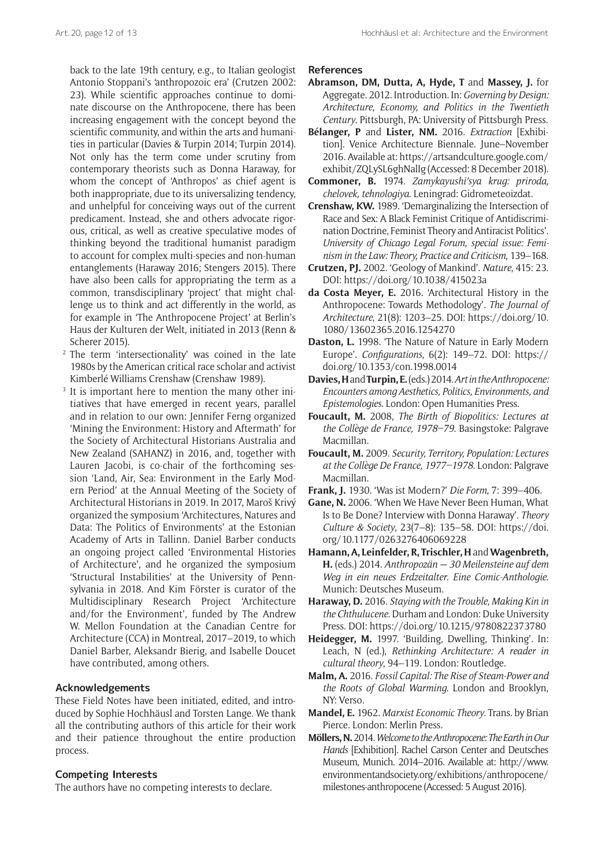back to the late 19th century, e.g., to Italian geologist Antonio Stoppani's 'anthropozoic era' (Crutzen 2002: 23). While scientific approaches continue to dominate discourse on the Anthropocene, there has been increasing engagement with the concept beyond the scientific community, and within the arts and humanities in particular (Davies & Turpin 2014; Turpin 2014). Not only has the term come under scrutiny from contemporary theorists such as Donna Haraway, for whom the concept of 'Anthropos' as chief agent is both inappropriate, due to its universalizing tendency, and unhelpful for conceiving ways out of the current predicament. Instead, she and others advocate rigorous, critical, as well as creative speculative modes of thinking beyond the traditional humanist paradigm to account for complex multi-species and non-human entanglements (Haraway 2016; Stengers 2015). There have also been calls for appropriating the term as a common, transdisciplinary 'project' that might challenge us to think and act differently in the world, as for example in 'The Anthropocene Project' at Berlin's Haus der Kulturen der Welt, initiated in 2013 (Renn & Scherer 2015).

- <sup>2</sup> The term 'intersectionality' was coined in the late 1980s by the American critical race scholar and activist Kimberlé Williams Crenshaw (Crenshaw 1989).
- It is important here to mention the many other initiatives that have emerged in recent years, parallel and in relation to our own: Jennifer Ferng organized 'Mining the Environment: History and Aftermath' for the Society of Architectural Historians Australia and New Zealand (SAHANZ) in 2016, and, together with Lauren Jacobi, is co-chair of the forthcoming session 'Land, Air, Sea: Environment in the Early Modern Period' at the Annual Meeting of the Society of Architectural Historians in 2019. In 2017, Maroš Krivý organized the symposium 'Architectures, Natures and Data: The Politics of Environments' at the Estonian Academy of Arts in Tallinn. Daniel Barber conducts an ongoing project called 'Environmental Histories of Architecture', and he organized the symposium 'Structural Instabilities' at the University of Pennsylvania in 2018. And Kim Förster is curator of the Multidisciplinary Research Project 'Architecture and/for the Environment', funded by The Andrew W. Mellon Foundation at the Canadian Centre for Architecture (CCA) in Montreal, 2017–2019, to which Daniel Barber, Aleksandr Bierig, and Isabelle Doucet have contributed, among others.

## **Acknowledgements**

These Field Notes have been initiated, edited, and introduced by Sophie Hochhäusl and Torsten Lange. We thank all the contributing authors of this article for their work and their patience throughout the entire production process.

## **Competing Interests**

The authors have no competing interests to declare.

**References**

- **Abramson, DM, Dutta, A, Hyde, T** and **Massey, J.** for Aggregate. 2012. Introduction. In: *Governing by Design: Architecture, Economy, and Politics in the Twentieth Century*. Pittsburgh, PA: University of Pittsburgh Press.
- **Bélanger, P** and **Lister, NM.** 2016. *Extraction* [Exhibition]. Venice Architecture Biennale. June–November 2016. Available at: [https://artsandculture.google.com/](https://artsandculture.google.com/exhibit/ZQLySL6ghNalIg) [exhibit/ZQLySL6ghNalIg](https://artsandculture.google.com/exhibit/ZQLySL6ghNalIg) (Accessed: 8 December 2018).
- **Commoner, B.** 1974. *Zamykayushi'sya krug: priroda, chelovek, tehnologiya*. Leningrad: Gidrometeoizdat.
- **Crenshaw, KW.** 1989. 'Demarginalizing the Intersection of Race and Sex: A Black Feminist Critique of Antidiscrimination Doctrine, Feminist Theory and Antiracist Politics'. *University of Chicago Legal Forum, special issue: Feminism in the Law: Theory, Practice and Criticism*, 139–168.
- **Crutzen, PJ.** 2002. 'Geology of Mankind'. *Nature*, 415: 23. DOI:<https://doi.org/10.1038/415023a>
- **da Costa Meyer, E.** 2016. 'Architectural History in the Anthropocene: Towards Methodology'. *The Journal of Architecture*, 21(8): 1203–25. DOI: [https://doi.org/10.](https://doi.org/10.1080/13602365.2016.1254270) [1080/13602365.2016.1254270](https://doi.org/10.1080/13602365.2016.1254270)
- **Daston, L.** 1998. 'The Nature of Nature in Early Modern Europe'. *Configurations*, 6(2): 149–72. DOI: [https://](https://doi.org/10.1353/con.1998.0014) [doi.org/10.1353/con.1998.0014](https://doi.org/10.1353/con.1998.0014)
- **Davies, H** and **Turpin, E.** (eds.) 2014. *Art in the Anthropocene: Encounters among Aesthetics, Politics, Environments, and Epistemologies*. London: Open Humanities Press.
- **Foucault, M.** 2008, *The Birth of Biopolitics: Lectures at the Collège de France, 1978–79*. Basingstoke: Palgrave Macmillan.
- **Foucault, M.** 2009. *Security, Territory, Population: Lectures at the Collège De France, 1977–1978*. London: Palgrave Macmillan.
- **Frank, J.** 1930. 'Was ist Modern?' *Die Form*, 7: 399–406.
- **Gane, N.** 2006. 'When We Have Never Been Human, What Is to Be Done? Interview with Donna Haraway'. *Theory Culture & Society*, 23(7–8): 135–58. DOI: [https://doi.](https://doi.org/10.1177/0263276406069228) [org/10.1177/0263276406069228](https://doi.org/10.1177/0263276406069228)
- **Hamann, A, Leinfelder, R, Trischler, H** and **Wagenbreth, H.** (eds.) 2014. *Anthropozän — 30 Meilensteine auf dem Weg in ein neues Erdzeitalter. Eine Comic-Anthologie*. Munich: Deutsches Museum.
- **Haraway, D.** 2016. *Staying with the Trouble, Making Kin in the Chthulucene*. Durham and London: Duke University Press. DOI:<https://doi.org/10.1215/9780822373780>
- **Heidegger, M.** 1997. 'Building, Dwelling, Thinking'. In: Leach, N (ed.), *Rethinking Architecture: A reader in cultural theory*, 94–119. London: Routledge.
- **Malm, A.** 2016. *Fossil Capital: The Rise of Steam-Power and the Roots of Global Warming*. London and Brooklyn, NY: Verso.
- **Mandel, E.** 1962. *Marxist Economic Theory*. Trans. by Brian Pierce. London: Merlin Press.
- **Möllers, N.** 2014. *Welcome to the Anthropocene: The Earth in Our Hands* [Exhibition]. Rachel Carson Center and Deutsches Museum, Munich. 2014–2016. Available at: [http://www.](http://www.environmentandsociety.org/exhibitions/anthropocene/milestones-anthropocene) [environmentandsociety.org/exhibitions/anthropocene/](http://www.environmentandsociety.org/exhibitions/anthropocene/milestones-anthropocene) [milestones-anthropocene](http://www.environmentandsociety.org/exhibitions/anthropocene/milestones-anthropocene) (Accessed: 5 August 2016).